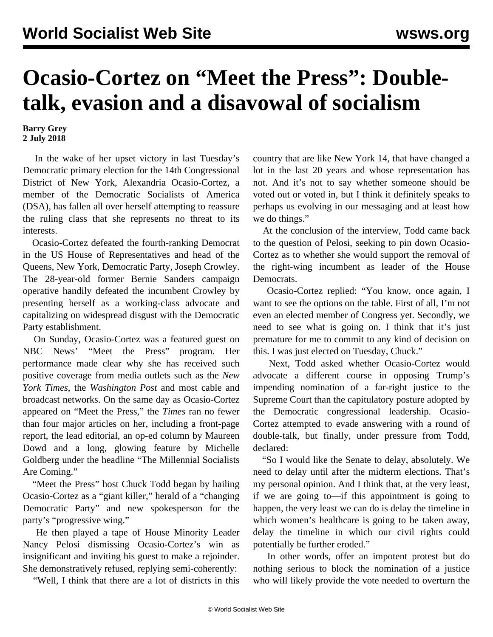## **Ocasio-Cortez on "Meet the Press": Doubletalk, evasion and a disavowal of socialism**

## **Barry Grey 2 July 2018**

 In the wake of her upset victory in last Tuesday's Democratic primary election for the 14th Congressional District of New York, Alexandria Ocasio-Cortez, a member of the Democratic Socialists of America (DSA), has fallen all over herself attempting to reassure the ruling class that she represents no threat to its interests.

 Ocasio-Cortez defeated the fourth-ranking Democrat in the US House of Representatives and head of the Queens, New York, Democratic Party, Joseph Crowley. The 28-year-old former Bernie Sanders campaign operative handily defeated the incumbent Crowley by presenting herself as a working-class advocate and capitalizing on widespread disgust with the Democratic Party establishment.

 On Sunday, Ocasio-Cortez was a featured guest on NBC News' "Meet the Press" program. Her performance made clear why she has received such positive coverage from media outlets such as the *New York Times*, the *Washington Post* and most cable and broadcast networks. On the same day as Ocasio-Cortez appeared on "Meet the Press," the *Times* ran no fewer than four major articles on her, including a front-page report, the lead editorial, an op-ed column by Maureen Dowd and a long, glowing feature by Michelle Goldberg under the headline "The Millennial Socialists Are Coming."

 "Meet the Press" host Chuck Todd began by hailing Ocasio-Cortez as a "giant killer," herald of a "changing Democratic Party" and new spokesperson for the party's "progressive wing."

 He then played a tape of House Minority Leader Nancy Pelosi dismissing Ocasio-Cortez's win as insignificant and inviting his guest to make a rejoinder. She demonstratively refused, replying semi-coherently:

"Well, I think that there are a lot of districts in this

country that are like New York 14, that have changed a lot in the last 20 years and whose representation has not. And it's not to say whether someone should be voted out or voted in, but I think it definitely speaks to perhaps us evolving in our messaging and at least how we do things."

 At the conclusion of the interview, Todd came back to the question of Pelosi, seeking to pin down Ocasio-Cortez as to whether she would support the removal of the right-wing incumbent as leader of the House Democrats.

 Ocasio-Cortez replied: "You know, once again, I want to see the options on the table. First of all, I'm not even an elected member of Congress yet. Secondly, we need to see what is going on. I think that it's just premature for me to commit to any kind of decision on this. I was just elected on Tuesday, Chuck."

 Next, Todd asked whether Ocasio-Cortez would advocate a different course in opposing Trump's impending nomination of a far-right justice to the Supreme Court than the capitulatory posture adopted by the Democratic congressional leadership. Ocasio-Cortez attempted to evade answering with a round of double-talk, but finally, under pressure from Todd, declared:

 "So I would like the Senate to delay, absolutely. We need to delay until after the midterm elections. That's my personal opinion. And I think that, at the very least, if we are going to—if this appointment is going to happen, the very least we can do is delay the timeline in which women's healthcare is going to be taken away, delay the timeline in which our civil rights could potentially be further eroded."

 In other words, offer an impotent protest but do nothing serious to block the nomination of a justice who will likely provide the vote needed to overturn the